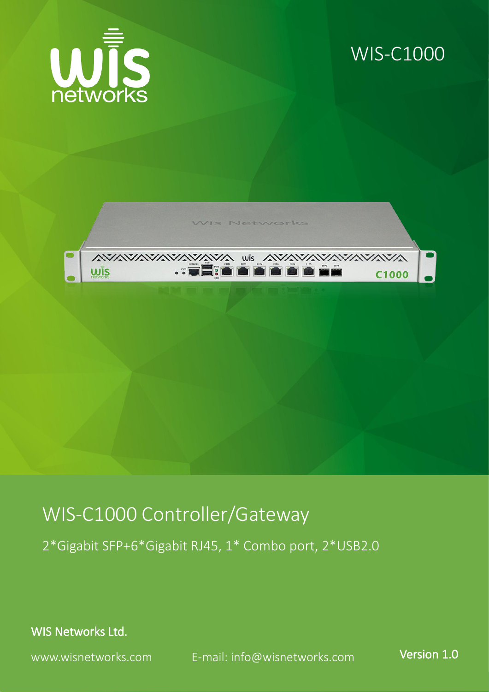

#### WIS-C1000



#### WIS-C1000 Controller/Gateway

2\*Gigabit SFP+6\*Gigabit RJ45, 1\* Combo port, 2\*USB2.0

WIS Networks Ltd.

www.wisnetworks.com E-mail: [info@wisnetworks.com](mailto:info@wisnetworks.com) Version 1.0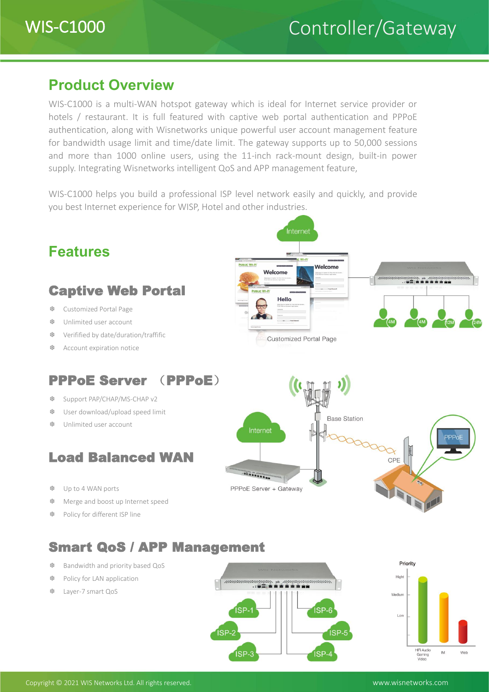#### **Product Overview**

WIS-C1000 is a multi-WAN hotspot gateway which is ideal for Internet service provider or hotels / restaurant. It is full featured with captive web portal authentication and PPPoE authentication, along with Wisnetworks unique powerful user account management feature for bandwidth usage limit and time/date limit. The gateway supports up to 50,000 sessions and more than 1000 online users, using the 11-inch rack-mount design, built-in power supply. Integrating Wisnetworks intelligent QoS and APP management feature,

WIS-C1000 helps you build a professional ISP level network easily and quickly, and provide you best Internet experience for WISP, Hotel and other industries.



ISP-3

ISP-

HiFi Audio<br>Gaming<br>Video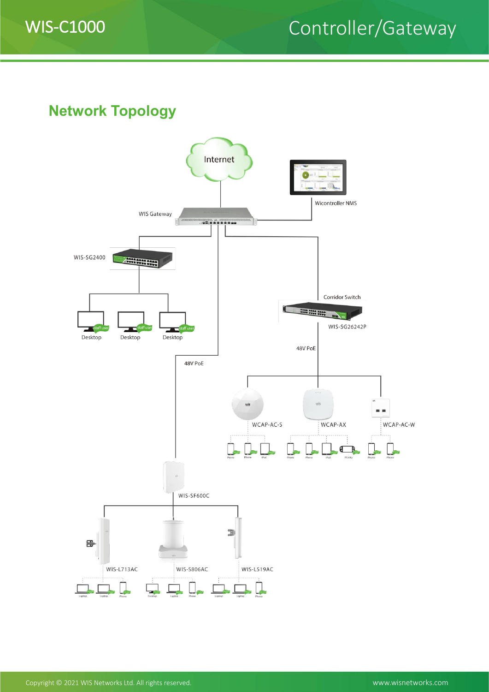

### WIS-C1000 Controller/Gateway

**Network Topology**

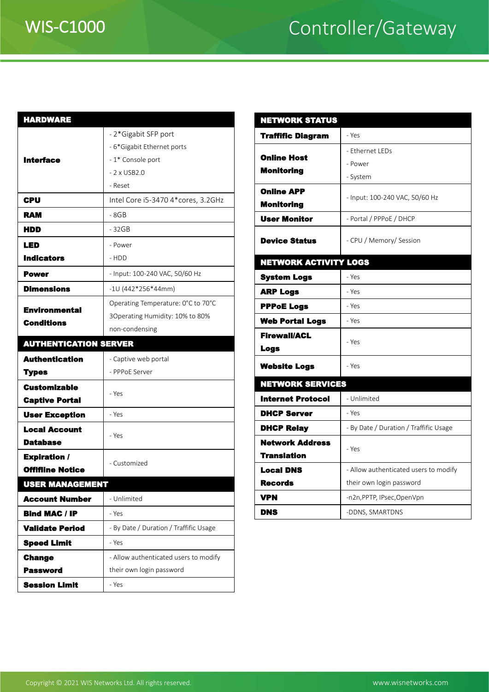# WIS-C1000 Controller/Gateway

| <b>HARDWARE</b>              |                                        | <b>NETWORKS</b>      |
|------------------------------|----------------------------------------|----------------------|
|                              | - 2*Gigabit SFP port                   | <b>Traffific Dia</b> |
| <b>Interface</b>             | - 6*Gigabit Ethernet ports             |                      |
|                              | - 1* Console port                      | <b>Online Host</b>   |
|                              | $-2 \times$ USB2.0                     | <b>Monitoring</b>    |
|                              | - Reset                                | <b>Online APP</b>    |
| <b>CPU</b>                   | Intel Core i5-3470 4*cores, 3.2GHz     | <b>Monitoring</b>    |
| <b>RAM</b>                   | - 8GB                                  | <b>User Monito</b>   |
| HDD                          | - 32GB                                 |                      |
| <b>LED</b>                   | - Power                                | <b>Device State</b>  |
| <b>Indicators</b>            | - HDD                                  | <b>NETWORK A</b>     |
| Power                        | - Input: 100-240 VAC, 50/60 Hz         | <b>System Logs</b>   |
| <b>Dimensions</b>            | $-10(442*256*44mm)$                    | <b>ARP Logs</b>      |
| <b>Environmental</b>         | Operating Temperature: 0°C to 70°C     | <b>PPPoE Logs</b>    |
| <b>Conditions</b>            | 3Operating Humidity: 10% to 80%        | <b>Web Portal</b>    |
|                              | non-condensing                         | <b>Firewall/ACI</b>  |
| <b>AUTHENTICATION SERVER</b> |                                        | <b>Logs</b>          |
| <b>Authentication</b>        | - Captive web portal                   | <b>Website Log</b>   |
| <b>Types</b>                 | - PPPoE Server                         |                      |
| <b>Customizable</b>          | - Yes                                  | <b>NETWORKS</b>      |
| <b>Captive Portal</b>        |                                        | <b>Internet Pro</b>  |
| <b>User Exception</b>        | - Yes                                  | <b>DHCP Serve</b>    |
| <b>Local Account</b>         | - Yes                                  | <b>DHCP Relay</b>    |
| <b>Database</b>              |                                        | <b>Network Ad</b>    |
| <b>Expiration /</b>          | - Customized                           | <b>Translation</b>   |
| <b>Offifiine Notice</b>      |                                        | <b>Local DNS</b>     |
| <b>USER MANAGEMENT</b>       |                                        | <b>Records</b>       |
| <b>Account Number</b>        | - Unlimited                            | <b>VPN</b>           |
| <b>Bind MAC / IP</b>         | - Yes                                  | <b>DNS</b>           |
| <b>Validate Period</b>       | - By Date / Duration / Traffific Usage |                      |
| <b>Speed Limit</b>           | - Yes                                  |                      |
| <b>Change</b>                | - Allow authenticated users to modify  |                      |
| <b>Password</b>              | their own login password               |                      |
| <b>Session Limit</b>         | - Yes                                  |                      |

| <b>NETWORK STATUS</b>                  |                                        |  |  |  |  |
|----------------------------------------|----------------------------------------|--|--|--|--|
| <b>Traffific Diagram</b>               | - Yes                                  |  |  |  |  |
|                                        | - Ethernet LEDs                        |  |  |  |  |
| <b>Online Host</b>                     | - Power                                |  |  |  |  |
| <b>Monitoring</b>                      | - System                               |  |  |  |  |
| <b>Online APP</b><br><b>Monitoring</b> | - Input: 100-240 VAC, 50/60 Hz         |  |  |  |  |
| <b>User Monitor</b>                    | - Portal / PPPoE / DHCP                |  |  |  |  |
| <b>Device Status</b>                   | - CPU / Memory/ Session                |  |  |  |  |
| <b>NETWORK ACTIVITY LOGS</b>           |                                        |  |  |  |  |
| <b>System Logs</b>                     | - Yes                                  |  |  |  |  |
| <b>ARP Logs</b>                        | - Yes                                  |  |  |  |  |
| <b>PPPoE Logs</b>                      | - Yes                                  |  |  |  |  |
| <b>Web Portal Logs</b>                 | - Yes                                  |  |  |  |  |
| <b>Firewall/ACL</b><br>Logs            | - Yes                                  |  |  |  |  |
| <b>Website Logs</b>                    | - Yes                                  |  |  |  |  |
| <b>NETWORK SERVICES</b>                |                                        |  |  |  |  |
| <b>Internet Protocol</b>               | - Unlimited                            |  |  |  |  |
| <b>DHCP Server</b>                     | - Yes                                  |  |  |  |  |
| <b>DHCP Relay</b>                      | - By Date / Duration / Traffific Usage |  |  |  |  |
| <b>Network Address</b>                 |                                        |  |  |  |  |
| <b>Translation</b>                     | - Yes                                  |  |  |  |  |
| <b>Local DNS</b>                       | - Allow authenticated users to modify  |  |  |  |  |
| <b>Records</b>                         | their own login password               |  |  |  |  |
| VPN                                    | -n2n, PPTP, IPsec, OpenVpn             |  |  |  |  |
| <b>DNS</b>                             | -DDNS, SMARTDNS                        |  |  |  |  |